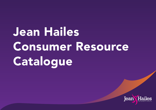Jean Hailes Consumer Resource Catalogue

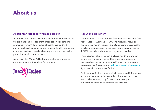# About us

## About Jean Hailes for Women's Health

Jean Hailes for Women's Health is a leader in women's health. We are a national not-for-profit organisation dedicated to improving women's knowledge of health. We do this by providing clinical care and evidence-based health information to women, girls and gender-diverse people, and the health professionals who care for them.

Jean Hailes for Women's Health gratefully acknowledges the support of the Australian Government.



## About this document

This document is a catalogue of free resources available from Jean Hailes for Women's Health. The resources focus on the women's health topics of anxiety, endometriosis, health checks, menopause, pelvic pain, polycystic ovary syndrome (PCOS), periods, and the vulva, vagina and ovaries.

This document also includes translated health information for women from Jean Hailes. This is our current suite of translated resources, but we are willing and able to create new resources. Please contact [education@jeanhailes.org.au](mailto:education%40jeanhailes.org.au?subject=) if you would like to discuss further.

Each resource in this document includes general information about the resource, a link to the find the resource on the Jean Hailes website, copy for social media or print publications, and tiles to promote the resource.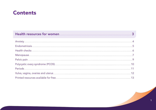## **Contents**

| Endometriosis <u>www.communications.communications.communications.com</u> |  |
|---------------------------------------------------------------------------|--|
|                                                                           |  |
|                                                                           |  |
|                                                                           |  |
|                                                                           |  |
|                                                                           |  |
|                                                                           |  |
|                                                                           |  |

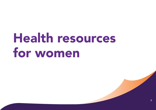# <span id="page-4-0"></span>Health resources for women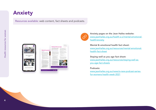# <span id="page-5-0"></span>Anxiety

Resources available: web content, fact sheets and podcasts.

|                           |                                                                                                                                                                                                                                                                                                                                                    | with Allian Index<br>Display well as you ago                                                                                                                                                                                                                                                                              |                                                                                                                                                                                                                                                                                                                           |
|---------------------------|----------------------------------------------------------------------------------------------------------------------------------------------------------------------------------------------------------------------------------------------------------------------------------------------------------------------------------------------------|---------------------------------------------------------------------------------------------------------------------------------------------------------------------------------------------------------------------------------------------------------------------------------------------------------------------------|---------------------------------------------------------------------------------------------------------------------------------------------------------------------------------------------------------------------------------------------------------------------------------------------------------------------------|
|                           | <b>MARCONS</b><br><b>Means! &amp; constitues!</b>                                                                                                                                                                                                                                                                                                  | Casholly Histoge profession by<br>and the chart to all the first states states and<br>they beautiful that from him both<br>pellmana mode day cillinata con dor-<br><b>Free</b><br>have the storage common standard                                                                                                        | al la france del continuo anterior estato in una ligno<br>the process computer state and process computer<br>A real and contract the contract<br>The party of the substitute product of the product of<br>dealership and the control of the con-<br>The company approved the service<br>and the control of the control of |
|                           | <b>Tragermanical</b><br>the party is prevention of the political property<br>Company that we want to the most spin-<br>starting of the term and the second<br>and the control of the control of the control of<br>the special control experience and the self-<br>the distribution of the same of the company                                      | significant and state of the control of the<br>the first time of the contact of the<br>and construction per the first of the parties and the<br><b>SELVISION SERVICES</b><br>proposition profit parts a profit<br>deadly those states and color than<br>there has the product of the state and the state<br>THE CARD CAR  | Thomas Printer - School Coun-<br>the company's the main fact.<br>and the control of the control of the<br>completely the first constraints for the<br>the company's state of the<br>continued in the first state.<br>Salty Polish March.<br>company of the company                                                        |
|                           | The process and continues the process<br>and the complete state of the complete<br>their publication concentration of<br><b>STATISTICS</b><br>٠<br><b>Service</b><br>colleges continuously excel-<br>and the tracks contributed<br>-<br>--<br>General Architecture and Constitution<br><b>Service</b><br>Send the company of the control           | the rest is a country to secure the pa-<br>The contract of the state of the contract<br>and the company's significant<br>The Grant County<br>standard start providers.<br><b>CONTRACTOR</b><br>Contact in the first service and                                                                                           | control and commercial<br>and the product of the control of the state of<br>the control of the con-<br>$\sim$<br>the second in contrast of the second<br><b>Hart College College</b><br>Automobile Automobile Arts of the                                                                                                 |
|                           | -<br>the company's property and the company's<br><br>۰<br><b>STATES CONTINUES</b><br>-<br>the collect connection building in the collection<br>-<br>and a control strip temperature<br>-<br>depends on the product of the state<br>-<br>days and a policy company of                                                                               | countries can written.<br>DOMESTIC: THE IP IS A<br><b>PACKAGE</b><br>-<br>the party and product the product of the party of the<br>Time remove the track they                                                                                                                                                             | the problem of the control of the                                                                                                                                                                                                                                                                                         |
|                           | the same and the company of the company of the company of<br>٠<br>A collection and the state of the<br>paid to provide the state of the lot<br>of their column for an electronic<br>$\sim$<br>the control of the control and the<br>-<br>control and streams.<br>-<br>the control of the control of the<br>٠<br>CORPORATION IN THE CONTRACTOR<br>٠ | and the company of the company<br>the control of the control of the con-<br>and a series of the state of the state.<br>three air days are come to<br>and the same control of the same<br>an extent of the Corporation contact<br><b>Contractor of the Contractor Contractor</b><br>Contractor and the product of the con- |                                                                                                                                                                                                                                                                                                                           |
| was of anotate disasters. | Constitution and the con-<br>-<br>would have seen a state<br>-<br>When they will not the pro-<br>and the form of the control of<br><b>STATE OF</b>                                                                                                                                                                                                 |                                                                                                                                                                                                                                                                                                                           |                                                                                                                                                                                                                                                                                                                           |
|                           |                                                                                                                                                                                                                                                                                                                                                    |                                                                                                                                                                                                                                                                                                                           |                                                                                                                                                                                                                                                                                                                           |



Anxiety pages on the Jean Hailes website: [www.jeanhailes.org.au/health-a-z/mental-emotional](https://www.jeanhailes.org.au/health-a-z/mental-emotional-health/anxiety)[health/anxiety](https://www.jeanhailes.org.au/health-a-z/mental-emotional-health/anxiety)

Mental & emotional health fact sheet: [www.jeanhailes.org.au/resources/mental-emotional](https://www.jeanhailes.org.au/resources/mental-emotional-health-fact-sheet)[health-fact-sheet](https://www.jeanhailes.org.au/resources/mental-emotional-health-fact-sheet)

Staying well as you age fact sheet: [www.jeanhailes.org.au/resources/staying-well-as](https://www.jeanhailes.org.au/resources/staying-well-as-you-age-fact-sheets)[you-age-fact-sheets](https://www.jeanhailes.org.au/resources/staying-well-as-you-age-fact-sheets)

### Podcasts:

[www.jeanhailes.org.au/news/a-new-podcast-series](https://www.jeanhailes.org.au/news/a-new-podcast-series-for-womens-health-week-2021)[for-womens-health-week-2021](https://www.jeanhailes.org.au/news/a-new-podcast-series-for-womens-health-week-2021)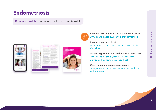# <span id="page-6-0"></span>Endometriosis

Resources available: webpages, fact sheets and booklet.







Þ



Endometriosis fact sheet:

[www.jeanhailes.org.au/resources/endometriosis](https://www.jeanhailes.org.au/resources/endometriosis-fact-sheet) -fact-sheet

Supporting women with endometriosis fact sheet: [www.jeanhailes.org.au/resources/supporting](https://www.jeanhailes.org.au/resources/supporting-women-with-endometriosis-fact-sheet)[women-with-endometriosis-fact-sheet](https://www.jeanhailes.org.au/resources/supporting-women-with-endometriosis-fact-sheet)

Understanding endometriosis booklet: [www.jeanhailes.org.au/resources/understanding](http://www.jeanhailes.org.au/resources/understanding-endometriosis)[endometriosis](http://www.jeanhailes.org.au/resources/understanding-endometriosis)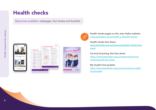## <span id="page-7-0"></span>Health checks

Resources available: webpages, fact sheets and booklet.







Health checks pages on the Jean Hailes website: [www.jeanhailes.org.au/health-a-z/health-checks](https://www.jeanhailes.org.au/health-a-z/health-checks)

## Health checks fact sheet:

[www.jeanhailes.org.au/resources/health-checks-fact](https://www.jeanhailes.org.au/resources/health-checks-fact-sheet)[sheet](https://www.jeanhailes.org.au/resources/health-checks-fact-sheet)

## Cervical Screening Test fact sheet:

[https://www.jeanhailes.org.au/resources/cervical](https://www.jeanhailes.org.au/resources/cervical-screening-test-fact-sheet)[screening-test-fact-sheet](https://www.jeanhailes.org.au/resources/cervical-screening-test-fact-sheet)

## My Health First booklet:

[https://www.jeanhailes.org.au/resources/my-health](https://www.jeanhailes.org.au/resources/my-health-first-booklet)[first-booklet](https://www.jeanhailes.org.au/resources/my-health-first-booklet)

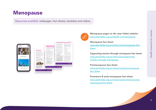# <span id="page-8-0"></span>Menopause

Resources available: webpages, fact sheets, booklets and videos.







Menopause pages on the Jean Hailes website: [www.jeanhailes.org.au/health-a-z/menopause](https://www.jeanhailes.org.au/health-a-z/menopause)

## Menopause fact sheet:

[www.jeanhailes.org.au/resources/menopause-fact](https://www.jeanhailes.org.au/resources/menopause-fact-sheet)[sheet](https://www.jeanhailes.org.au/resources/menopause-fact-sheet)

Supporting women through menopause fact sheet: [www.jeanhailes.org.au/resources/supporting](https://www.jeanhailes.org.au/resources/supporting-women-through-menopause)[women-through-menopause](https://www.jeanhailes.org.au/resources/supporting-women-through-menopause)

## Perimenopause fact sheet:

[www.jeanhailes.org.au/resources/perimenopause](https://www.jeanhailes.org.au/resources/perimenopause-fact-sheet)[fact-sheet](https://www.jeanhailes.org.au/resources/perimenopause-fact-sheet)

Premature & early menopause fact sheet: [www.jeanhailes.org.au/resources/premature-early](https://www.jeanhailes.org.au/resources/premature-early-menopause-fact-sheet)[menopause-fact-sheet](https://www.jeanhailes.org.au/resources/premature-early-menopause-fact-sheet)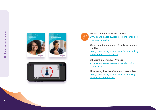



Understanding menopause booklet: [www.jeanhailes.org.au/resources/understanding](https://www.jeanhailes.org.au/resources/understanding-menopause-booklet)[menopause-booklet](https://www.jeanhailes.org.au/resources/understanding-menopause-booklet)

Understanding premature & early menopause booklet: [www.jeanhailes.org.au/resources/understanding](https://www.jeanhailes.org.au/resources/understanding-premature-early-menopause)[premature-early-menopause](https://www.jeanhailes.org.au/resources/understanding-premature-early-menopause)

What is the menopause? video: [www.jeanhailes.org.au/resources/what-is-the](https://www.jeanhailes.org.au/resources/what-is-the-menopause)[menopause](https://www.jeanhailes.org.au/resources/what-is-the-menopause)

How to stay healthy after menopause video: [www.jeanhailes.org.au/resources/how-to-stay](https://www.jeanhailes.org.au/resources/how-to-stay-healthy-after-menopause)[healthy-after-menopause](https://www.jeanhailes.org.au/resources/how-to-stay-healthy-after-menopause)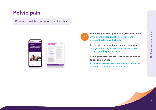# <span id="page-10-0"></span>Pelvic pain

Resources available: webpages and fact sheet.





Sleep and persistent pelvic pain (PPP) fact sheet: [www.jeanhailes.org.au/resources/sleep-and](https://www.jeanhailes.org.au/resources/sleep-and-persistent-pelvic-pain-fact-sheet)[persistent-pelvic-pain-fact-sheet](https://www.jeanhailes.org.au/resources/sleep-and-persistent-pelvic-pain-fact-sheet)

Pelvic pain – a collection of helpful resources: [www.jeanhailes.org.au/resources/pelvic-pain-a](https://www.jeanhailes.org.au/resources/pelvic-pain-a-collection-of-helpful-resources)[collection-of-helpful-resources](https://www.jeanhailes.org.au/resources/pelvic-pain-a-collection-of-helpful-resources)

Pelvic pain: know the different causes and when to seek help article:

[www.jeanhailes.org.au/news/pelvic-pain-know-the](https://www.jeanhailes.org.au/news/pelvic-pain-know-the-differences-and-when-to-seek-help)[differences-and-when-to-seek-help](https://www.jeanhailes.org.au/news/pelvic-pain-know-the-differences-and-when-to-seek-help)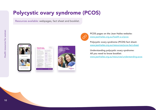# <span id="page-11-0"></span>Polycystic ovary syndrome (PCOS)

Resources available: webpages, fact sheet and booklet.



| ____<br>------------<br>the first part of the first data show                                                                                  |                                                                                                  |
|------------------------------------------------------------------------------------------------------------------------------------------------|--------------------------------------------------------------------------------------------------|
| and the company's property and the<br><b>STATISTICS</b><br>and when the goal and then<br>Contractor and Con-<br>the particular control parties |                                                                                                  |
| The contract of the contract of the<br>त्राज्ञा<br><b>START</b>                                                                                | ---<br>---<br><b>All supply</b>                                                                  |
| the company to the con-                                                                                                                        | <b>Service Artists</b><br><b>CONTRACTOR</b><br>-----                                             |
| --                                                                                                                                             | <b>SHEART</b><br>the first party of the<br><b>Services</b><br>The control of the<br>and it is an |
| ۰<br>--<br>---                                                                                                                                 | <b>CONTRACT</b><br>-----<br>                                                                     |
|                                                                                                                                                |                                                                                                  |
|                                                                                                                                                |                                                                                                  |
|                                                                                                                                                |                                                                                                  |





PCOS pages on the Jean Hailes website: [www.jeanhailes.org.au/health-a-z/pcos](http://www.jeanhailes.org.au/health-a-z/pcos)

Polycystic ovary syndrome (PCOS) fact sheet: [www.jeanhailes.org.au/resources/pcos-fact-sheet](https://www.jeanhailes.org.au/resources/pcos-fact-sheet)

Understanding polycystic ovary syndrome: All you need to know booklet: [www.jeanhailes.org.au/resources/understanding-pcos](https://www.jeanhailes.org.au/resources/understanding-pcos)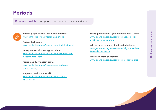# <span id="page-12-0"></span>Periods

Resources available: webpages, booklets, fact sheets and videos.



Periods pages on the Jean Hailes website: [www.jeanhailes.org.au/health-a-z/periods](https://www.jeanhailes.org.au/health-a-z/periods)

Periods fact sheet: [www.jeanhailes.org.au/resources/periods-fact-sheet](https://www.jeanhailes.org.au/resources/periods-fact-sheet)

Heavy menstrual bleeding fact sheet: [www.jeanhailes.org.au/resources/heavy-menstrual](https://www.jeanhailes.org.au/resources/heavy-menstrual-bleeding-fact-sheet)[bleeding-fact-sheet](https://www.jeanhailes.org.au/resources/heavy-menstrual-bleeding-fact-sheet)

Period pain & symptom diary: [www.jeanhailes.org.au/resources/period-pain](https://www.jeanhailes.org.au/resources/period-pain-symptom-diary)[symptom-diary](https://www.jeanhailes.org.au/resources/period-pain-symptom-diary)

My period - what's normal?: [www.jeanhailes.org.au/resources/my-period](https://www.jeanhailes.org.au/resources/my-period-whats-normal)[whats-normal](https://www.jeanhailes.org.au/resources/my-period-whats-normal)

Heavy periods: what you need to know - video: [www.jeanhailes.org.au/resources/heavy-periods](https://www.jeanhailes.org.au/resources/heavy-periods-what-you-need-to-know)[what-you-need-to-know](https://www.jeanhailes.org.au/resources/heavy-periods-what-you-need-to-know)

All you need to know about periods video: [www.jeanhailes.org.au/resources/all-you-need-to](https://www.jeanhailes.org.au/resources/all-you-need-to-know-about-periods)[know-about-periods](https://www.jeanhailes.org.au/resources/all-you-need-to-know-about-periods)

Menstrual clock animation: [www.jeanhailes.org.au/resources/menstrual-clock](https://www.jeanhailes.org.au/resources/menstrual-clock)

11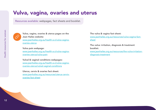# <span id="page-13-0"></span>Vulva, vagina, ovaries and uterus

Resources available: webpages, fact sheets and booklet.



Vulva, vagina, ovaries & uterus pages on the Jean Hailes website: [www.jeanhailes.org.au/health-a-z/vulva-vagina](https://www.jeanhailes.org.au/health-a-z/vulva-vagina-ovaries-uterus)[ovaries-uterus](https://www.jeanhailes.org.au/health-a-z/vulva-vagina-ovaries-uterus)

Vulva pain webpage: [www.jeanhailes.org.au/health-a-z/vulva-vagina](https://www.jeanhailes.org.au/health-a-z/vulva-vagina-ovaries-uterus/vulva-pain)[ovaries-uterus/vulva-pain](https://www.jeanhailes.org.au/health-a-z/vulva-vagina-ovaries-uterus/vulva-pain)

Vulval & vaginal conditions webpages: [www.jeanhailes.org.au/health-a-z/vulva-vagina](https://www.jeanhailes.org.au/health-a-z/vulva-vagina-ovaries-uterus/vulval-vaginal-conditions)[ovaries-uterus/vulval-vaginal-conditions](https://www.jeanhailes.org.au/health-a-z/vulva-vagina-ovaries-uterus/vulval-vaginal-conditions)

Uterus, cervix & ovaries fact sheet: [www.jeanhailes.org.au/resources/uterus-cervix](https://www.jeanhailes.org.au/resources/uterus-cervix-ovaries-fact-sheet)[ovaries-fact-sheet](https://www.jeanhailes.org.au/resources/uterus-cervix-ovaries-fact-sheet)

The vulva & vagina fact sheet: [www.jeanhailes.org.au/resources/vulva-vagina-fact](https://www.jeanhailes.org.au/resources/vulva-vagina-fact-sheet)[sheet](https://www.jeanhailes.org.au/resources/vulva-vagina-fact-sheet)

The vulva: irritation, diagnosis & treatment booklet: [www.jeanhailes.org.au/resources/the-vulva-irritation](https://www.jeanhailes.org.au/resources/the-vulva-irritation-diagnosis-treatment)[diagnosis-treatment](https://www.jeanhailes.org.au/resources/the-vulva-irritation-diagnosis-treatment)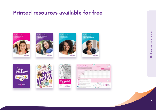# <span id="page-14-0"></span>Printed resources available for free















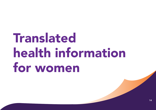# <span id="page-15-0"></span>Translated health information for women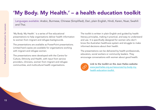# <span id="page-16-0"></span>'My Body. My Health.' – a health education toolkit

Languages available: Arabic, Burmese, Chinese (Simplified), Dari, plain English, Hindi, Karen, Nuer, Swahili and Thai.

'My Body. My Health.' is a series of five educational presentations to help organisations deliver health information to women from migrant and refugee backgrounds.

The presentations are available as PowerPoint presentations. Limited hard copies are available for organisations working with migrant and refugee women.

The presentations were developed with the Centre for Culture, Ethnicity and Health, with input from service providers, clinicians, women from migrant and refugee communities, and multicultural health organisations.

The toolkit is written in plain English and guided by health literacy principles, making it practical, and easy to understand and use. It is specifically designed for women who don't know the Australian healthcare system and struggle to make informed decisions about their health.

The presentations can be delivered by health professionals, educators, social workers or community leaders. They encourage conversations with women about good health.



Link to the toolkit on the Jean Hailes website: [www.jeanhailes.org.au/resources/my-body-my](https://www.jeanhailes.org.au/resources/my-body-my-health-education-toolkit)[health-education-toolkit](https://www.jeanhailes.org.au/resources/my-body-my-health-education-toolkit)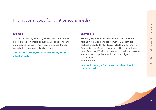## Promotional copy for print or social media

## Example 1

The Jean Hailes 'My Body. My Health.' educational toolkit is now available in [insert language]. Designed for health professionals to support migrant communities, the toolkit is available in print and online by visiting:

[www.jeanhailes.org.au/resources/my-body-my-health](https://www.jeanhailes.org.au/resources/my-body-my-health-education-toolkit)[education-toolkit](https://www.jeanhailes.org.au/resources/my-body-my-health-education-toolkit)

## Example 2

'My Body. My Health.' is an educational toolkit aimed at helping migrant and refugee women learn about their healthcare needs. The toolkit is available in plain English, Arabic, Burmese, Chinese (Simplified), Dari, Hindi, Karen, Nuer, Swahili and Thai. It can be used by health professionals, educators and organisations that support migrant communities. Find out more:

[www.jeanhailes.org.au/resources/my-body-my-health](https://www.jeanhailes.org.au/resources/my-body-my-health-education-toolkit)[education-toolkit](https://www.jeanhailes.org.au/resources/my-body-my-health-education-toolkit)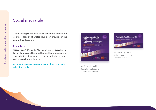## Social media tile

The following social media tiles have been provided for your use. Tags and handles have been provided at the end of this document.

#### Example post

@JeanHailes' 'My Body. My Health' is now available in [insert language]. Designed for health professionals to support migrant women, the education toolkit is now available online and in print:

[www.jeanhailes.org.au/resources/my-body-my-health](https://www.jeanhailes.org.au/resources/my-body-my-health-education-toolkit)[education-toolkit](https://www.jeanhailes.org.au/resources/my-body-my-health-education-toolkit) My Body. My Health.



Education toolkit now available in Burmese



My Body. My Health. Education toolkit now available in Nuer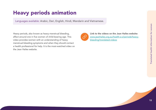# <span id="page-19-0"></span>Heavy periods animation

Languages available: Arabic, Dari, English, Hindi, Mandarin and Vietnamese.

Heavy periods, also known as heavy menstrual bleeding, affect around one in five women of child-bearing age. This video provides women with an understanding of heavy menstrual bleeding symptoms and when they should contact a health professional for help. It is the most-watched video on the Jean Hailes website.



Link to the videos on the Jean Hailes website: [www.jeanhailes.org.au/health-a-z/periods/heavy](https://www.jeanhailes.org.au/health-a-z/periods/heavy-bleeding/translated-videos)[bleeding/translated-videos](https://www.jeanhailes.org.au/health-a-z/periods/heavy-bleeding/translated-videos)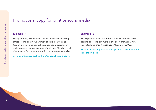## Promotional copy for print or social media

## Example 1

Heavy periods, also known as heavy menstrual bleeding, affect around one in five women of child-bearing age. Our animated video about heavy periods is available in six languages – English, Arabic, Dari, Hindi, Mandarin and Vietnamese. For more information on heavy periods, visit:

[www.jeanhailes.org.au/health-a-z/periods/heavy-bleeding](https://www.jeanhailes.org.au/health-a-z/periods/heavy-bleeding)

## Example 2

Heavy periods affect around one in five women of childbearing age. Find out more in this short animation, now translated into [insert language]. @JeanHailes Visit:

[www.jeanhailes.org.au/health-a-z/periods/heavy-bleeding/](https://www.jeanhailes.org.au/health-a-z/periods/heavy-bleeding/translated-videos) [translated-videos](https://www.jeanhailes.org.au/health-a-z/periods/heavy-bleeding/translated-videos)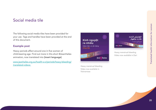## Social media tile

The following social media tiles have been provided for your use. Tags and handles have been provided at the end of this document.

## Example post

Heavy periods affect around one in five women of child-bearing age. Find out more in this short @JeanHailes animation, now translated into [insert language].

[www.jeanhailes.org.au/health-a-z/periods/heavy-bleeding/](https://www.jeanhailes.org.au/health-a-z/periods/heavy-bleeding/translated-videos) [translated-videos](https://www.jeanhailes.org.au/health-a-z/periods/heavy-bleeding/translated-videos) and the set of the set of the set of the set of the set of the set of the set of the set of the set of the set of the set of the set of the set of the set of the set of the set of the set of the set of th



Video now available in Vietnamese



Heavy menstrual bleeding Video now available in Dari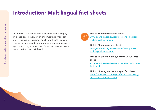# <span id="page-22-0"></span>Introduction: Multilingual fact sheets

Jean Hailes' fact sheets provide women with a simple, evidence-based overview of endometriosis, menopause, polycystic ovary syndrome (PCOS) and healthy ageing. The fact sheets include important information on causes, symptoms, diagnosis, and helpful advice on what women can do to improve their health.



Link to Endometriosis fact sheet: [www.jeanhailes.org.au/resources/endometriosis](https://www.jeanhailes.org.au/resources/endometriosis-multilingual-fact-sheets)[multilingual-fact-sheets](https://www.jeanhailes.org.au/resources/endometriosis-multilingual-fact-sheets)

Link to Menopause fact sheet: [www.jeanhailes.org.au/resources/menopause](https://www.jeanhailes.org.au/resources/menopause-multilingual-fact-sheets)[multilingual-fact-sheets](https://www.jeanhailes.org.au/resources/menopause-multilingual-fact-sheets)

Link to Polycystic ovary syndrome (PCOS) fact sheet:

[www.jeanhailes.org.au/resources/pcos-multilingual](https://www.jeanhailes.org.au/resources/pcos-multilingual-fact-sheets)[fact-sheets](https://www.jeanhailes.org.au/resources/pcos-multilingual-fact-sheets)

Link to 'Staying well as you age' fact sheet: [https://www.jeanhailes.org.au/resources/staying](https://www.jeanhailes.org.au/resources/staying-well-as-you-age-fact-sheets)[well-as-you-age-fact-sheets](https://www.jeanhailes.org.au/resources/staying-well-as-you-age-fact-sheets)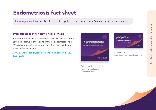# <span id="page-23-0"></span>Endometriosis fact sheet

Languages available: Arabic, Chinese (Simplified), Dari, Farsi, Hindi, Sinhala, Tamil and Vietnamese.

## Promotional copy for print or social media

Endometriosis means the tissue that normally lines the uterus (or womb) grows in other parts of the body. It affects one in 10 women during the years they have their periods. Learn more in this fact sheet:

[www.jeanhailes.org.au/resources/endometriosis-multilingual](https://www.jeanhailes.org.au/resources/endometriosis-multilingual-fact-sheets)[fact-sheets](https://www.jeanhailes.org.au/resources/endometriosis-multilingual-fact-sheets)



Endometriosis

एन्डोमीटीओसिस (Endometriosis) me you are you it prove it (3)

Fact sheet now available in Hindi

Juan Thiên

Endometriosis Video now available in Simplified Chinese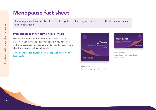# <span id="page-24-0"></span>Menopause fact sheet

Languages available: Arabic, Chinese (Simplified), plain English, Farsi, Greek, Hindi, Italian, Turkish and Vietnamese.

## Promotional copy for print or social media

Menopause means your final menstrual period. You will only know you have had your final period if you have had no bleeding, spotting or staining for 12 months. Learn more about menopause in this fact sheet:

[www.jeanhailes.org.au/resources/menopause-multilingual](https://www.jeanhailes.org.au/resources/menopause-multilingual-fact-sheets)[fact-sheets](https://www.jeanhailes.org.au/resources/menopause-multilingual-fact-sheets)





Menopause Fact sheet now available in Vietnamese

Menopause Fact sheet now available in Farsi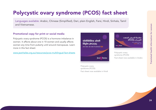# <span id="page-25-0"></span>Polycystic ovary syndrome (PCOS) fact sheet

Languages available: Arabic, Chinese (Simplified), Dari, plain English, Farsi, Hindi, Sinhala, Tamil and Vietnamese.

## Promotional copy for print or social media

Polycystic ovary syndrome (PCOS) is a hormone imbalance in women. It affects about one in 10 women and usually affects women any time from puberty until around menopause. Learn more in this fact sheet:

[www.jeanhailes.org.au/resources/pcos-multilingual-fact-sheets](https://www.jeanhailes.org.au/resources/pcos-multilingual-fact-sheets)



Polycystic ovary syndrome (PCOS) Fact sheet now available in Hindi



Polycystic ovary syndrome (PCOS) Fact sheet now available in Arabic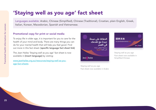# <span id="page-26-0"></span>'Staying well as you age' fact sheet

Languages available: Arabic, Chinese (Simplified), Chinese (Traditional), Croatian, plain English, Greek, Italian, Korean, Macedonian, Spanish and Vietnamese.

## Promotional copy for print or social media

To enjoy life in older age, it is important for you to care for the health of your mind and body. There are many things you can do for your mental health that will help you feel good. Find out more in this fact sheet: [specific language fact sheet link]

The Jean Hailes 'Staying well as you age' fact sheet is now available in [insert language] by visiting:

[www.jeanhailes.org.au/resources/staying-well-as-you](https://www.jeanhailes.org.au/resources/staying-well-as-you-age-fact-sheets)age-fact-sheets



Staying well as you age Fact sheet now available in Arabic



Staying well as you age Fact sheet now available in Simplified Chinese